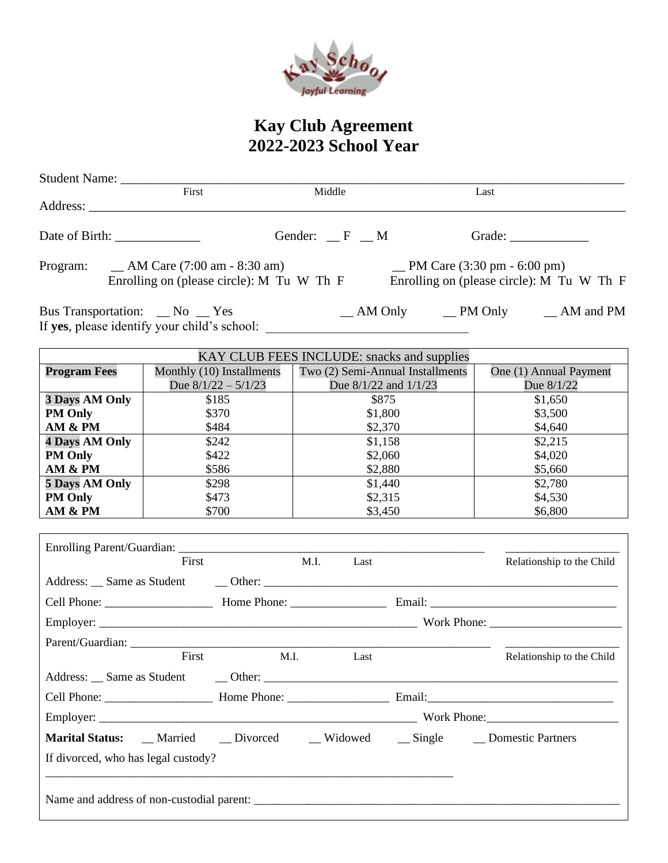

## **Kay Club Agreement 2022-2023 School Year**

|                              | First                                                                         | Middle                                                                                                                                                                                                                         | Last                                                                           |  |  |
|------------------------------|-------------------------------------------------------------------------------|--------------------------------------------------------------------------------------------------------------------------------------------------------------------------------------------------------------------------------|--------------------------------------------------------------------------------|--|--|
|                              |                                                                               | Gender: $\_\$ F $\_\$ M                                                                                                                                                                                                        |                                                                                |  |  |
| Program:                     | $\_$ AM Care (7:00 am - 8:30 am)<br>Enrolling on (please circle): M Tu W Th F |                                                                                                                                                                                                                                | $\mu$ PM Care (3:30 pm - 6:00 pm)<br>Enrolling on (please circle): M Tu W Th F |  |  |
| Bus Transportation: _No _Yes |                                                                               |                                                                                                                                                                                                                                | _AM Only __PM Only __AM and PM                                                 |  |  |
|                              |                                                                               | KAY CLUB FEES INCLUDE: snacks and supplies                                                                                                                                                                                     |                                                                                |  |  |
| <b>Program Fees</b>          | Monthly (10) Installments<br>Due $8/1/22 - 5/1/23$                            | Two (2) Semi-Annual Installments<br>Due 8/1/22 and 1/1/23                                                                                                                                                                      | One (1) Annual Payment<br>Due 8/1/22                                           |  |  |
| <b>3 Days AM Only</b>        | \$185                                                                         | \$875                                                                                                                                                                                                                          | \$1,650                                                                        |  |  |
| <b>PM Only</b>               | \$370                                                                         | \$1,800                                                                                                                                                                                                                        | \$3,500                                                                        |  |  |
| AM & PM                      | \$484                                                                         | \$2,370                                                                                                                                                                                                                        | \$4,640                                                                        |  |  |
| <b>4 Days AM Only</b>        | \$242                                                                         | \$1,158                                                                                                                                                                                                                        | \$2,215                                                                        |  |  |
| <b>PM Only</b>               | \$422                                                                         | \$2,060                                                                                                                                                                                                                        | \$4,020                                                                        |  |  |
| AM & PM                      | \$586                                                                         | \$2,880                                                                                                                                                                                                                        | \$5,660                                                                        |  |  |
| 5 Days AM Only               | \$298                                                                         | \$1,440                                                                                                                                                                                                                        | \$2,780                                                                        |  |  |
| <b>PM Only</b>               | \$473                                                                         | \$2,315                                                                                                                                                                                                                        | \$4,530                                                                        |  |  |
| AM & PM                      | \$700                                                                         | \$3,450                                                                                                                                                                                                                        | \$6,800                                                                        |  |  |
|                              |                                                                               |                                                                                                                                                                                                                                |                                                                                |  |  |
|                              | First                                                                         | M.I.<br>Last                                                                                                                                                                                                                   | Relationship to the Child                                                      |  |  |
|                              |                                                                               | Address: Same as Student Cher: Cher: Cherchief Cherchief Cherchief Cherchief Cherchief Cherchief Cherchief Cherchief Cherchief Cherchief Cherchief Cherchief Cherchief Cherchief Cherchief Cherchief Cherchief Cherchief Cherc |                                                                                |  |  |
|                              |                                                                               |                                                                                                                                                                                                                                |                                                                                |  |  |
|                              |                                                                               |                                                                                                                                                                                                                                |                                                                                |  |  |
| Parent/Guardian:             |                                                                               |                                                                                                                                                                                                                                |                                                                                |  |  |

|                                         | First | M.I. | Last |  | Relationship to the Child        |  |  |
|-----------------------------------------|-------|------|------|--|----------------------------------|--|--|
| Address: Same as Student                |       |      |      |  |                                  |  |  |
|                                         |       |      |      |  |                                  |  |  |
|                                         |       |      |      |  |                                  |  |  |
| <b>Marital Status:</b> Married Divorced |       |      |      |  | Widowed Single Domestic Partners |  |  |
| If divorced, who has legal custody?     |       |      |      |  |                                  |  |  |
|                                         |       |      |      |  |                                  |  |  |
|                                         |       |      |      |  |                                  |  |  |
|                                         |       |      |      |  |                                  |  |  |